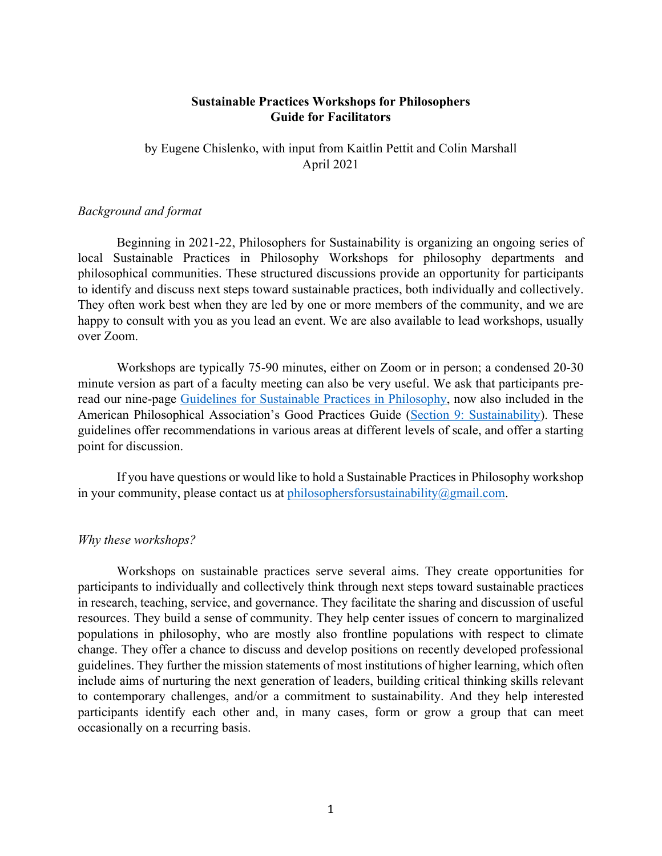## **Sustainable Practices Workshops for Philosophers Guide for Facilitators**

by Eugene Chislenko, with input from Kaitlin Pettit and Colin Marshall April 2021

### *Background and format*

Beginning in 2021-22, Philosophers for Sustainability is organizing an ongoing series of local Sustainable Practices in Philosophy Workshops for philosophy departments and philosophical communities. These structured discussions provide an opportunity for participants to identify and discuss next steps toward sustainable practices, both individually and collectively. They often work best when they are led by one or more members of the community, and we are happy to consult with you as you lead an event. We are also available to lead workshops, usually over Zoom.

Workshops are typically 75-90 minutes, either on Zoom or in person; a condensed 20-30 minute version as part of a faculty meeting can also be very useful. We ask that participants preread our nine-page Guidelines for Sustainable Practices in Philosophy, now also included in the American Philosophical Association's Good Practices Guide (Section 9: Sustainability). These guidelines offer recommendations in various areas at different levels of scale, and offer a starting point for discussion.

If you have questions or would like to hold a Sustainable Practices in Philosophy workshop in your community, please contact us at philosophersforsustainability $@g$ gmail.com.

#### *Why these workshops?*

Workshops on sustainable practices serve several aims. They create opportunities for participants to individually and collectively think through next steps toward sustainable practices in research, teaching, service, and governance. They facilitate the sharing and discussion of useful resources. They build a sense of community. They help center issues of concern to marginalized populations in philosophy, who are mostly also frontline populations with respect to climate change. They offer a chance to discuss and develop positions on recently developed professional guidelines. They further the mission statements of most institutions of higher learning, which often include aims of nurturing the next generation of leaders, building critical thinking skills relevant to contemporary challenges, and/or a commitment to sustainability. And they help interested participants identify each other and, in many cases, form or grow a group that can meet occasionally on a recurring basis.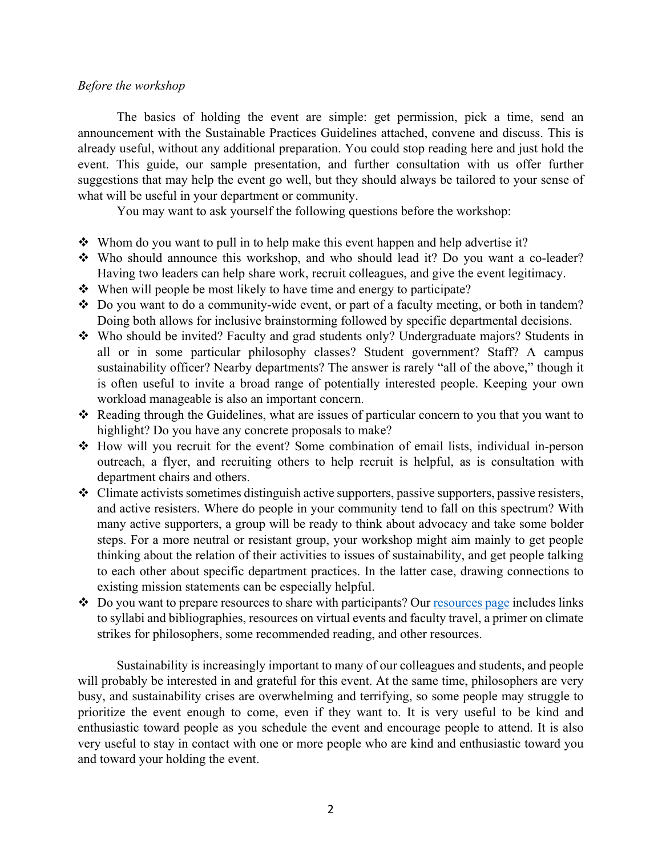#### *Before the workshop*

The basics of holding the event are simple: get permission, pick a time, send an announcement with the Sustainable Practices Guidelines attached, convene and discuss. This is already useful, without any additional preparation. You could stop reading here and just hold the event. This guide, our sample presentation, and further consultation with us offer further suggestions that may help the event go well, but they should always be tailored to your sense of what will be useful in your department or community.

You may want to ask yourself the following questions before the workshop:

- $\div$  Whom do you want to pull in to help make this event happen and help advertise it?
- $\cdot$  Who should announce this workshop, and who should lead it? Do you want a co-leader? Having two leaders can help share work, recruit colleagues, and give the event legitimacy.
- $\cdot$  When will people be most likely to have time and energy to participate?
- $\cdot$  Do you want to do a community-wide event, or part of a faculty meeting, or both in tandem? Doing both allows for inclusive brainstorming followed by specific departmental decisions.
- \* Who should be invited? Faculty and grad students only? Undergraduate majors? Students in all or in some particular philosophy classes? Student government? Staff? A campus sustainability officer? Nearby departments? The answer is rarely "all of the above," though it is often useful to invite a broad range of potentially interested people. Keeping your own workload manageable is also an important concern.
- Reading through the Guidelines, what are issues of particular concern to you that you want to highlight? Do you have any concrete proposals to make?
- v How will you recruit for the event? Some combination of email lists, individual in-person outreach, a flyer, and recruiting others to help recruit is helpful, as is consultation with department chairs and others.
- v Climate activists sometimes distinguish active supporters, passive supporters, passive resisters, and active resisters. Where do people in your community tend to fall on this spectrum? With many active supporters, a group will be ready to think about advocacy and take some bolder steps. For a more neutral or resistant group, your workshop might aim mainly to get people thinking about the relation of their activities to issues of sustainability, and get people talking to each other about specific department practices. In the latter case, drawing connections to existing mission statements can be especially helpful.
- $\triangle$  Do you want to prepare resources to share with participants? Our resources page includes links to syllabi and bibliographies, resources on virtual events and faculty travel, a primer on climate strikes for philosophers, some recommended reading, and other resources.

Sustainability is increasingly important to many of our colleagues and students, and people will probably be interested in and grateful for this event. At the same time, philosophers are very busy, and sustainability crises are overwhelming and terrifying, so some people may struggle to prioritize the event enough to come, even if they want to. It is very useful to be kind and enthusiastic toward people as you schedule the event and encourage people to attend. It is also very useful to stay in contact with one or more people who are kind and enthusiastic toward you and toward your holding the event.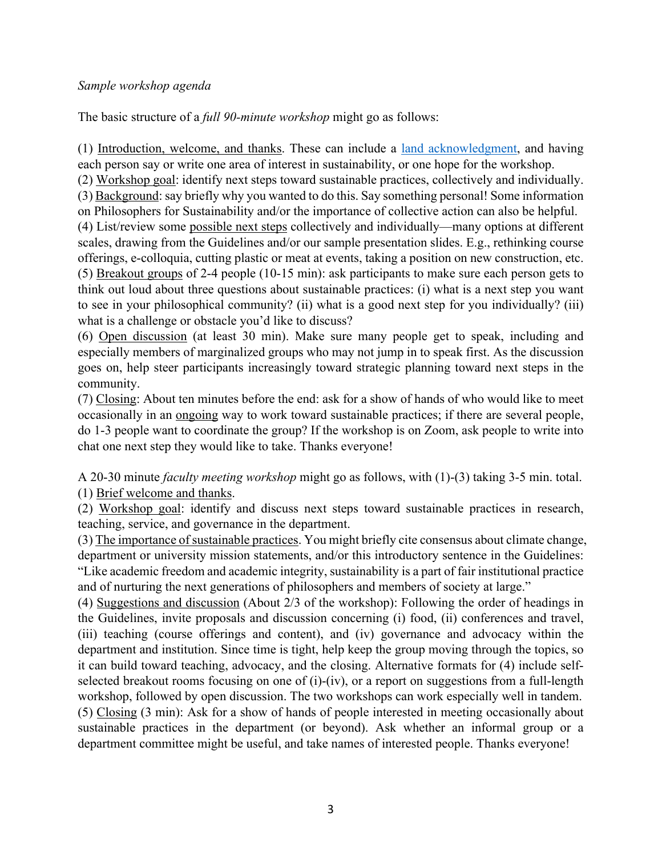## *Sample workshop agenda*

The basic structure of a *full 90-minute workshop* might go as follows:

(1) Introduction, welcome, and thanks. These can include a land acknowledgment, and having each person say or write one area of interest in sustainability, or one hope for the workshop.

(2) Workshop goal: identify next steps toward sustainable practices, collectively and individually.

(3) Background: say briefly why you wanted to do this. Say something personal! Some information on Philosophers for Sustainability and/or the importance of collective action can also be helpful.

(4) List/review some possible next steps collectively and individually—many options at different scales, drawing from the Guidelines and/or our sample presentation slides. E.g., rethinking course offerings, e-colloquia, cutting plastic or meat at events, taking a position on new construction, etc. (5) Breakout groups of 2-4 people (10-15 min): ask participants to make sure each person gets to think out loud about three questions about sustainable practices: (i) what is a next step you want to see in your philosophical community? (ii) what is a good next step for you individually? (iii) what is a challenge or obstacle you'd like to discuss?

(6) Open discussion (at least 30 min). Make sure many people get to speak, including and especially members of marginalized groups who may not jump in to speak first. As the discussion goes on, help steer participants increasingly toward strategic planning toward next steps in the community.

(7) Closing: About ten minutes before the end: ask for a show of hands of who would like to meet occasionally in an ongoing way to work toward sustainable practices; if there are several people, do 1-3 people want to coordinate the group? If the workshop is on Zoom, ask people to write into chat one next step they would like to take. Thanks everyone!

A 20-30 minute *faculty meeting workshop* might go as follows, with (1)-(3) taking 3-5 min. total. (1) Brief welcome and thanks.

(2) Workshop goal: identify and discuss next steps toward sustainable practices in research, teaching, service, and governance in the department.

(3) The importance of sustainable practices. You might briefly cite consensus about climate change, department or university mission statements, and/or this introductory sentence in the Guidelines: "Like academic freedom and academic integrity, sustainability is a part of fair institutional practice and of nurturing the next generations of philosophers and members of society at large."

(4) Suggestions and discussion (About 2/3 of the workshop): Following the order of headings in the Guidelines, invite proposals and discussion concerning (i) food, (ii) conferences and travel, (iii) teaching (course offerings and content), and (iv) governance and advocacy within the department and institution. Since time is tight, help keep the group moving through the topics, so it can build toward teaching, advocacy, and the closing. Alternative formats for (4) include selfselected breakout rooms focusing on one of (i)-(iv), or a report on suggestions from a full-length workshop, followed by open discussion. The two workshops can work especially well in tandem. (5) Closing (3 min): Ask for a show of hands of people interested in meeting occasionally about sustainable practices in the department (or beyond). Ask whether an informal group or a department committee might be useful, and take names of interested people. Thanks everyone!